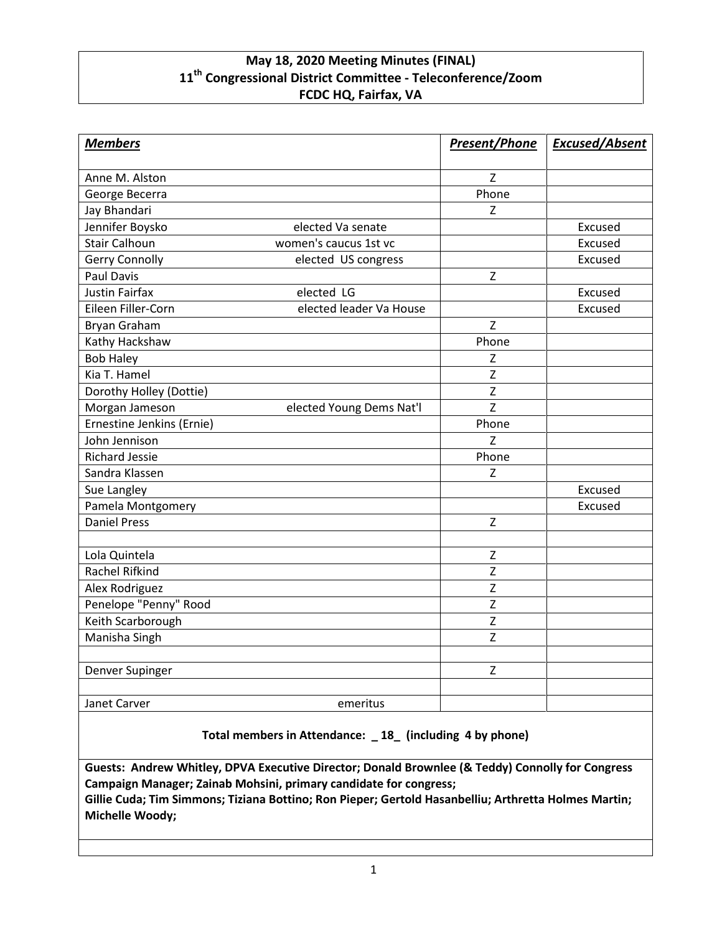# **May 18, 2020 Meeting Minutes (FINAL) 11th Congressional District Committee - Teleconference/Zoom FCDC HQ, Fairfax, VA**

| <b>Members</b>            |                          | <b>Present/Phone</b> | <b>Excused/Absent</b> |
|---------------------------|--------------------------|----------------------|-----------------------|
| Anne M. Alston            |                          | $\mathsf{Z}$         |                       |
| George Becerra            |                          | Phone                |                       |
| Jay Bhandari              |                          | $\mathsf Z$          |                       |
| Jennifer Boysko           | elected Va senate        |                      | Excused               |
| <b>Stair Calhoun</b>      | women's caucus 1st vc    |                      | Excused               |
| Gerry Connolly            | elected US congress      |                      | Excused               |
| <b>Paul Davis</b>         |                          | Z                    |                       |
| <b>Justin Fairfax</b>     | elected LG               |                      | Excused               |
| Eileen Filler-Corn        | elected leader Va House  |                      | Excused               |
| <b>Bryan Graham</b>       |                          | $\mathsf{Z}$         |                       |
| Kathy Hackshaw            |                          | Phone                |                       |
| <b>Bob Haley</b>          |                          | $\mathsf Z$          |                       |
| Kia T. Hamel              |                          | Z                    |                       |
| Dorothy Holley (Dottie)   |                          | Z                    |                       |
| Morgan Jameson            | elected Young Dems Nat'l | Z                    |                       |
| Ernestine Jenkins (Ernie) |                          | Phone                |                       |
| John Jennison             |                          | Z                    |                       |
| <b>Richard Jessie</b>     |                          | Phone                |                       |
| Sandra Klassen            |                          | Z                    |                       |
| Sue Langley               |                          |                      | Excused               |
| Pamela Montgomery         |                          |                      | Excused               |
| <b>Daniel Press</b>       |                          | $\mathsf Z$          |                       |
|                           |                          |                      |                       |
| Lola Quintela             |                          | Z                    |                       |
| <b>Rachel Rifkind</b>     |                          | $\mathsf Z$          |                       |
| Alex Rodriguez            |                          | Z                    |                       |
| Penelope "Penny" Rood     |                          | $\overline{z}$       |                       |
| Keith Scarborough         |                          | $\overline{z}$       |                       |
| Manisha Singh             |                          | Z                    |                       |
|                           |                          |                      |                       |
| Denver Supinger           |                          | $\mathsf Z$          |                       |
| Janet Carver              | emeritus                 |                      |                       |
|                           |                          |                      |                       |

**Total members in Attendance: \_ 18\_ (including 4 by phone)**

**Guests: Andrew Whitley, DPVA Executive Director; Donald Brownlee (& Teddy) Connolly for Congress Campaign Manager; Zainab Mohsini, primary candidate for congress;**

**Gillie Cuda; Tim Simmons; Tiziana Bottino; Ron Pieper; Gertold Hasanbelliu; Arthretta Holmes Martin; Michelle Woody;**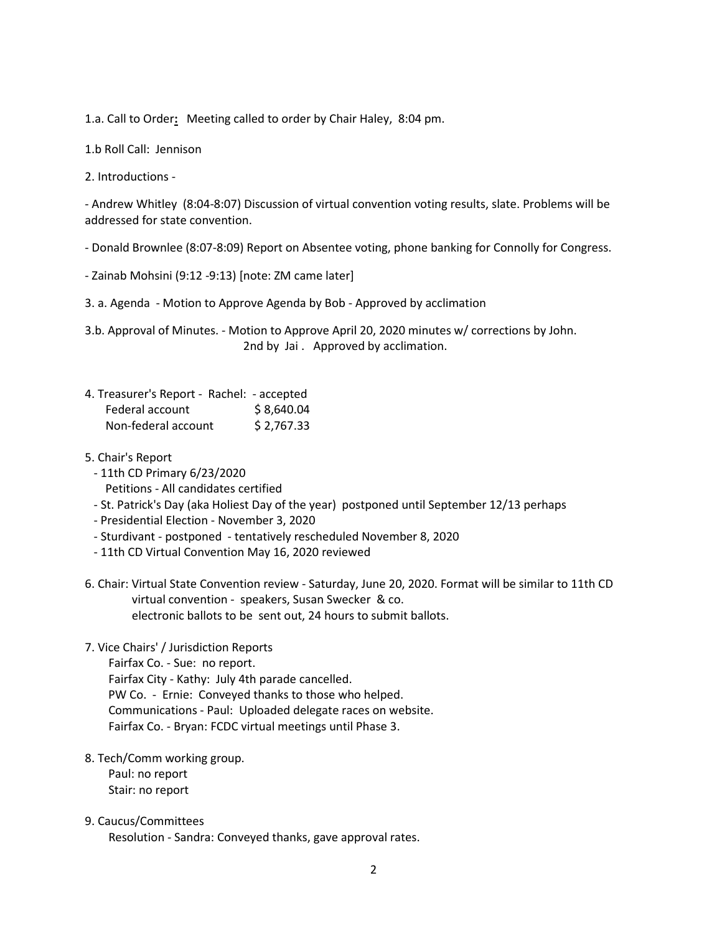1.a. Call to Order**:** Meeting called to order by Chair Haley, 8:04 pm.

1.b Roll Call: Jennison

2. Introductions -

- Andrew Whitley (8:04-8:07) Discussion of virtual convention voting results, slate. Problems will be addressed for state convention.

- Donald Brownlee (8:07-8:09) Report on Absentee voting, phone banking for Connolly for Congress.

- Zainab Mohsini (9:12 -9:13) [note: ZM came later]

3. a. Agenda - Motion to Approve Agenda by Bob - Approved by acclimation

3.b. Approval of Minutes. - Motion to Approve April 20, 2020 minutes w/ corrections by John. 2nd by Jai . Approved by acclimation.

| 4. Treasurer's Report - Rachel: - accepted |            |
|--------------------------------------------|------------|
| Federal account                            | \$8,640.04 |
| Non-federal account                        | \$2,767.33 |

- 5. Chair's Report
	- 11th CD Primary 6/23/2020 Petitions - All candidates certified
	- St. Patrick's Day (aka Holiest Day of the year) postponed until September 12/13 perhaps
	- Presidential Election November 3, 2020
	- Sturdivant postponed tentatively rescheduled November 8, 2020
	- 11th CD Virtual Convention May 16, 2020 reviewed
- 6. Chair: Virtual State Convention review Saturday, June 20, 2020. Format will be similar to 11th CD virtual convention - speakers, Susan Swecker & co. electronic ballots to be sent out, 24 hours to submit ballots.

### 7. Vice Chairs' / Jurisdiction Reports

Fairfax Co. - Sue: no report. Fairfax City - Kathy: July 4th parade cancelled. PW Co. - Ernie: Conveyed thanks to those who helped. Communications - Paul: Uploaded delegate races on website. Fairfax Co. - Bryan: FCDC virtual meetings until Phase 3.

## 8. Tech/Comm working group. Paul: no report Stair: no report

### 9. Caucus/Committees

Resolution - Sandra: Conveyed thanks, gave approval rates.